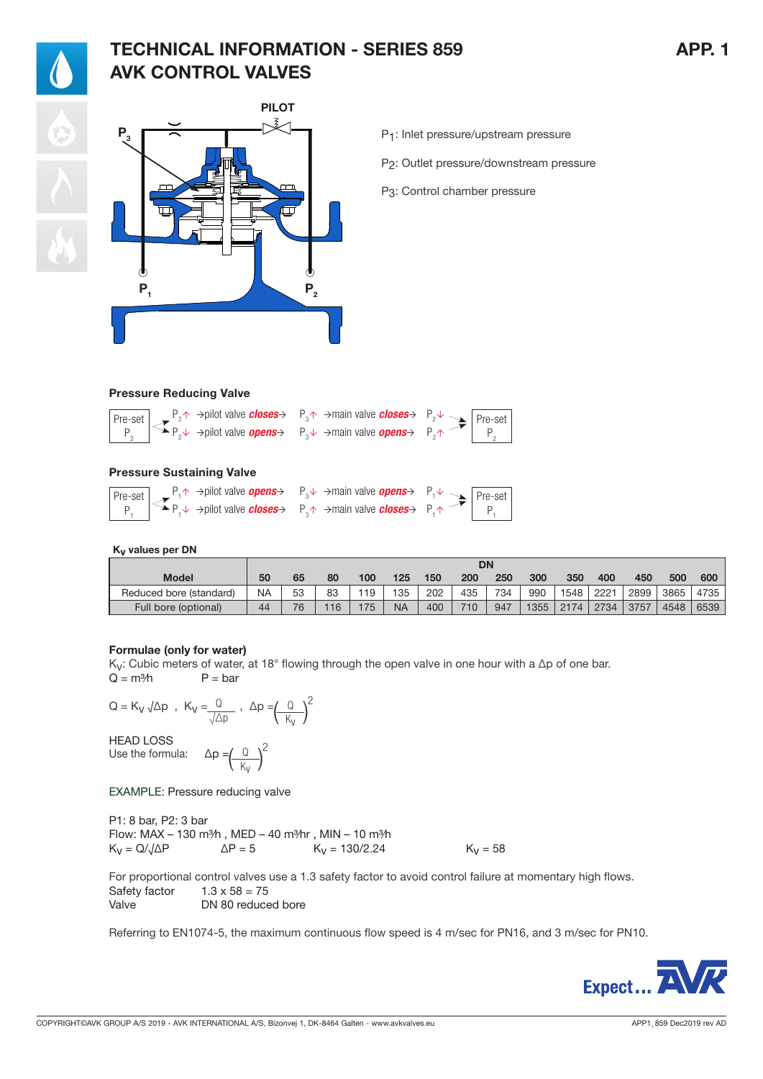## TECHNICAL INFORMATION - SERIES 859 APP. 1 AVK CONTROL VALVES



P1: Inlet pressure/upstream pressure

P2: Outlet pressure/downstream pressure

P3: Control chamber pressure

## Pressure Reducing Valve

| $\boxed{\text{Pre-set}}$ $\rightarrow$ P <sub>2</sub> $\uparrow$ $\rightarrow$ pilot valve <b>closes</b> $\rightarrow$ P <sub>3</sub> $\uparrow$ $\rightarrow$ main valve <b>closes</b> $\rightarrow$ P <sub>2</sub> $\downarrow$ $\rightarrow$ $\boxed{\text{Pre-set}}$ |  |  |
|--------------------------------------------------------------------------------------------------------------------------------------------------------------------------------------------------------------------------------------------------------------------------|--|--|
| $P_2 \begin{bmatrix} \leq \downarrow & \\ & P_2 \downarrow & \\ & & P_3 \end{bmatrix}$ $\Rightarrow$ pilot valve <b>opens</b> $P_3 \downarrow \Rightarrow$ main valve <b>opens</b> $\Rightarrow$ $P_2 \uparrow \rightarrow$ $\Rightarrow$ $\parallel$ $P_2 \parallel$    |  |  |

### Pressure Sustaining Valve

| $\boxed{\text{Pre-set}}$ $\begin{array}{c} P_1 \uparrow \rightarrow \text{pilot} \text{ valve } \text{open } s \rightarrow P_3 \downarrow \rightarrow \text{main} \text{ valve } \text{open } s \rightarrow P_1 \downarrow \rightarrow P_1 \downarrow \rightarrow P_2 \end{array}$ |  |  |
|------------------------------------------------------------------------------------------------------------------------------------------------------------------------------------------------------------------------------------------------------------------------------------|--|--|
| $P_1 \rightarrow P_2 \rightarrow$ pilot valve <b>closes</b> $P_3 \rightarrow$ main valve <b>closes</b> $P_1 \rightarrow$                                                                                                                                                           |  |  |

### K<sub>v</sub> values per DN

|                         | <b>DN</b> |    |     |     |           |     |     |     |      |      |      |      |      |      |
|-------------------------|-----------|----|-----|-----|-----------|-----|-----|-----|------|------|------|------|------|------|
| <b>Model</b>            | 50        | 65 | 80  | 100 | 125       | 150 | 200 | 250 | 300  | 350  | 400  | 450  | 500  | 600  |
| Reduced bore (standard) | <b>NA</b> | 53 | 83  | 19  | 135       | 202 | 435 | 734 | 990  | 1548 | 2221 | 2899 | 3865 | 4735 |
| Full bore (optional)    | 44        | 76 | 116 | 175 | <b>NA</b> | 400 | 710 | 947 | 1355 | 2174 | 2734 | 3757 | 4548 | 6539 |

### Formulae (only for water)

K<sub>V</sub>: Cubic meters of water, at 18° flowing through the open valve in one hour with a ∆p of one bar.<br>Q = m<sup>3</sup>/h P = bar  $P = bar$ 

$$
Q = K_V \sqrt{\Delta p} , K_V = \frac{Q}{\sqrt{\Delta p}} , \Delta p = \left(\frac{Q}{K_V}\right)^2
$$
  
HEAD LOSS  
Use the formula: 
$$
\Delta p = \left(\frac{Q}{K_V}\right)^2
$$

EXAMPLE: Pressure reducing valve

P1: 8 bar, P2: 3 bar Flow: MAX – 130 m<sup>3</sup>/h, MED – 40 m<sup>3</sup>/hr, MIN – 10 m<sup>3</sup>/h  $K_v = Q/\sqrt{\Delta P}$   $\Delta P = 5$   $K_v = 130/2.24$   $K_v = 58$ 

For proportional control valves use a 1.3 safety factor to avoid control failure at momentary high flows. Safety factor  $1.3 \times 58 = 75$ Valve DN 80 reduced bore

Referring to EN1074-5, the maximum continuous flow speed is 4 m/sec for PN16, and 3 m/sec for PN10.